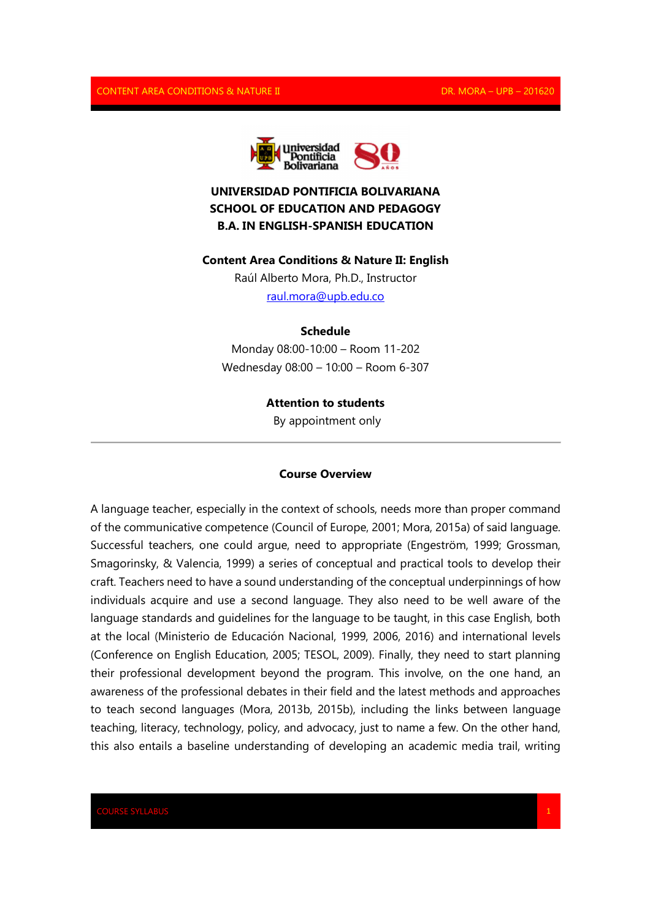

# **UNIVERSIDAD PONTIFICIA BOLIVARIANA SCHOOL OF EDUCATION AND PEDAGOGY B.A. IN ENGLISH-SPANISH EDUCATION**

#### **Content Area Conditions & Nature II: English**

Raúl Alberto Mora, Ph.D., Instructor raul.mora@upb.edu.co

## **Schedule**

Monday 08:00-10:00 – Room 11-202 Wednesday 08:00 – 10:00 – Room 6-307

#### **Attention to students**

By appointment only

#### **Course Overview**

A language teacher, especially in the context of schools, needs more than proper command of the communicative competence (Council of Europe, 2001; Mora, 2015a) of said language. Successful teachers, one could argue, need to appropriate (Engeström, 1999; Grossman, Smagorinsky, & Valencia, 1999) a series of conceptual and practical tools to develop their craft. Teachers need to have a sound understanding of the conceptual underpinnings of how individuals acquire and use a second language. They also need to be well aware of the language standards and guidelines for the language to be taught, in this case English, both at the local (Ministerio de Educación Nacional, 1999, 2006, 2016) and international levels (Conference on English Education, 2005; TESOL, 2009). Finally, they need to start planning their professional development beyond the program. This involve, on the one hand, an awareness of the professional debates in their field and the latest methods and approaches to teach second languages (Mora, 2013b, 2015b), including the links between language teaching, literacy, technology, policy, and advocacy, just to name a few. On the other hand, this also entails a baseline understanding of developing an academic media trail, writing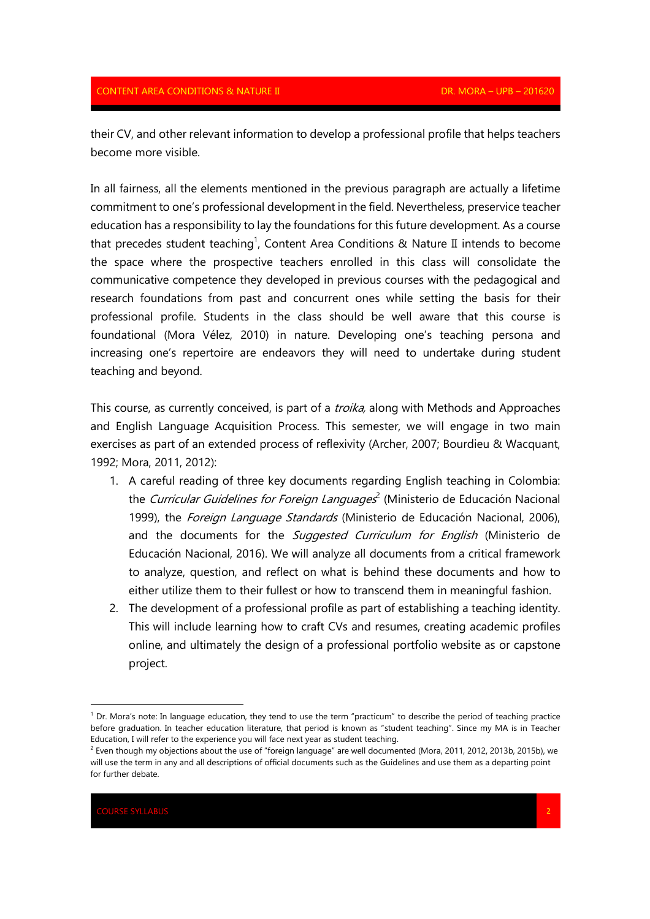their CV, and other relevant information to develop a professional profile that helps teachers become more visible.

In all fairness, all the elements mentioned in the previous paragraph are actually a lifetime commitment to one's professional development in the field. Nevertheless, preservice teacher education has a responsibility to lay the foundations for this future development. As a course that precedes student teaching<sup>1</sup>, Content Area Conditions & Nature II intends to become the space where the prospective teachers enrolled in this class will consolidate the communicative competence they developed in previous courses with the pedagogical and research foundations from past and concurrent ones while setting the basis for their professional profile. Students in the class should be well aware that this course is foundational (Mora Vélez, 2010) in nature. Developing one's teaching persona and increasing one's repertoire are endeavors they will need to undertake during student teaching and beyond.

This course, as currently conceived, is part of a *troika*, along with Methods and Approaches and English Language Acquisition Process. This semester, we will engage in two main exercises as part of an extended process of reflexivity (Archer, 2007; Bourdieu & Wacquant, 1992; Mora, 2011, 2012):

- 1. A careful reading of three key documents regarding English teaching in Colombia: the *Curricular Guidelines for Foreign Languages*<sup>2</sup> (Ministerio de Educación Nacional 1999), the Foreign Language Standards (Ministerio de Educación Nacional, 2006), and the documents for the *Suggested Curriculum for English* (Ministerio de Educación Nacional, 2016). We will analyze all documents from a critical framework to analyze, question, and reflect on what is behind these documents and how to either utilize them to their fullest or how to transcend them in meaningful fashion.
- 2. The development of a professional profile as part of establishing a teaching identity. This will include learning how to craft CVs and resumes, creating academic profiles online, and ultimately the design of a professional portfolio website as or capstone project.

<u>.</u>

<sup>&</sup>lt;sup>1</sup> Dr. Mora's note: In language education, they tend to use the term "practicum" to describe the period of teaching practice before graduation. In teacher education literature, that period is known as "student teaching". Since my MA is in Teacher Education, I will refer to the experience you will face next year as student teaching.

 $^2$  Even though my objections about the use of "foreign language" are well documented (Mora, 2011, 2012, 2013b, 2015b), we will use the term in any and all descriptions of official documents such as the Guidelines and use them as a departing point for further debate.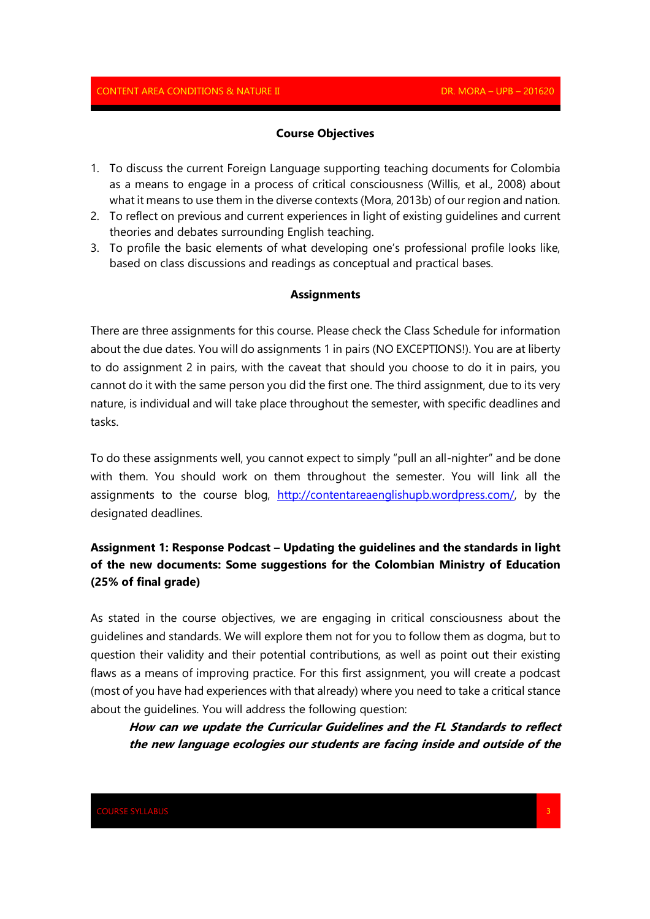#### **Course Objectives**

- 1. To discuss the current Foreign Language supporting teaching documents for Colombia as a means to engage in a process of critical consciousness (Willis, et al., 2008) about what it means to use them in the diverse contexts (Mora, 2013b) of our region and nation.
- 2. To reflect on previous and current experiences in light of existing guidelines and current theories and debates surrounding English teaching.
- 3. To profile the basic elements of what developing one's professional profile looks like, based on class discussions and readings as conceptual and practical bases.

### **Assignments**

There are three assignments for this course. Please check the Class Schedule for information about the due dates. You will do assignments 1 in pairs (NO EXCEPTIONS!). You are at liberty to do assignment 2 in pairs, with the caveat that should you choose to do it in pairs, you cannot do it with the same person you did the first one. The third assignment, due to its very nature, is individual and will take place throughout the semester, with specific deadlines and tasks.

To do these assignments well, you cannot expect to simply "pull an all-nighter" and be done with them. You should work on them throughout the semester. You will link all the assignments to the course blog, http://contentareaenglishupb.wordpress.com/, by the designated deadlines.

# **Assignment 1: Response Podcast – Updating the guidelines and the standards in light of the new documents: Some suggestions for the Colombian Ministry of Education (25% of final grade)**

As stated in the course objectives, we are engaging in critical consciousness about the guidelines and standards. We will explore them not for you to follow them as dogma, but to question their validity and their potential contributions, as well as point out their existing flaws as a means of improving practice. For this first assignment, you will create a podcast (most of you have had experiences with that already) where you need to take a critical stance about the guidelines. You will address the following question:

**How can we update the Curricular Guidelines and the FL Standards to reflect the new language ecologies our students are facing inside and outside of the**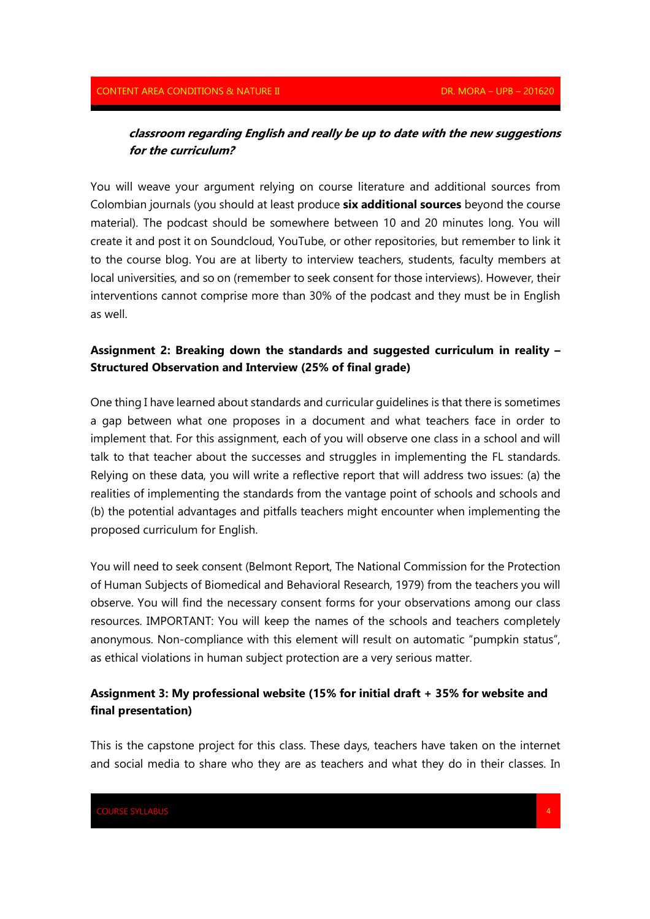# **classroom regarding English and really be up to date with the new suggestions for the curriculum?**

You will weave your argument relying on course literature and additional sources from Colombian journals (you should at least produce **six additional sources** beyond the course material). The podcast should be somewhere between 10 and 20 minutes long. You will create it and post it on Soundcloud, YouTube, or other repositories, but remember to link it to the course blog. You are at liberty to interview teachers, students, faculty members at local universities, and so on (remember to seek consent for those interviews). However, their interventions cannot comprise more than 30% of the podcast and they must be in English as well.

## **Assignment 2: Breaking down the standards and suggested curriculum in reality – Structured Observation and Interview (25% of final grade)**

One thing I have learned about standards and curricular guidelines is that there is sometimes a gap between what one proposes in a document and what teachers face in order to implement that. For this assignment, each of you will observe one class in a school and will talk to that teacher about the successes and struggles in implementing the FL standards. Relying on these data, you will write a reflective report that will address two issues: (a) the realities of implementing the standards from the vantage point of schools and schools and (b) the potential advantages and pitfalls teachers might encounter when implementing the proposed curriculum for English.

You will need to seek consent (Belmont Report, The National Commission for the Protection of Human Subjects of Biomedical and Behavioral Research, 1979) from the teachers you will observe. You will find the necessary consent forms for your observations among our class resources. IMPORTANT: You will keep the names of the schools and teachers completely anonymous. Non-compliance with this element will result on automatic "pumpkin status", as ethical violations in human subject protection are a very serious matter.

## **Assignment 3: My professional website (15% for initial draft + 35% for website and final presentation)**

This is the capstone project for this class. These days, teachers have taken on the internet and social media to share who they are as teachers and what they do in their classes. In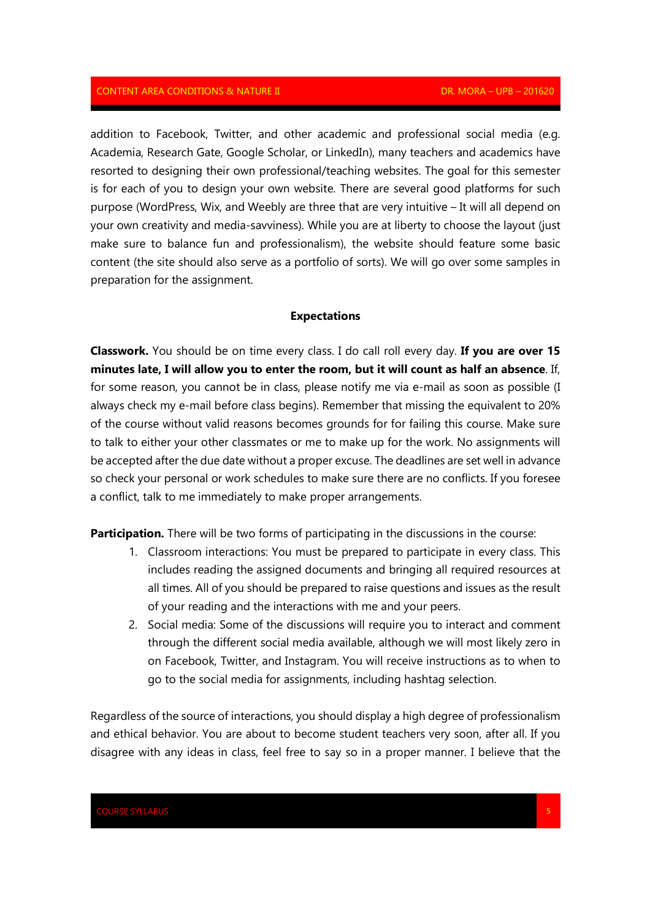addition to Facebook, Twitter, and other academic and professional social media (e.g. Academia, Research Gate, Google Scholar, or LinkedIn), many teachers and academics have resorted to designing their own professional/teaching websites. The goal for this semester is for each of you to design your own website. There are several good platforms for such purpose (WordPress, Wix, and Weebly are three that are very intuitive – It will all depend on your own creativity and media-savviness). While you are at liberty to choose the layout (just make sure to balance fun and professionalism), the website should feature some basic content (the site should also serve as a portfolio of sorts). We will go over some samples in preparation for the assignment.

### **Expectations**

**Classwork.** You should be on time every class. I do call roll every day. **If you are over 15 minutes late, I will allow you to enter the room, but it will count as half an absence**. If, for some reason, you cannot be in class, please notify me via e-mail as soon as possible (I always check my e-mail before class begins). Remember that missing the equivalent to 20% of the course without valid reasons becomes grounds for for failing this course. Make sure to talk to either your other classmates or me to make up for the work. No assignments will be accepted after the due date without a proper excuse. The deadlines are set well in advance so check your personal or work schedules to make sure there are no conflicts. If you foresee a conflict, talk to me immediately to make proper arrangements.

**Participation.** There will be two forms of participating in the discussions in the course:

- 1. Classroom interactions: You must be prepared to participate in every class. This includes reading the assigned documents and bringing all required resources at all times. All of you should be prepared to raise questions and issues as the result of your reading and the interactions with me and your peers.
- 2. Social media: Some of the discussions will require you to interact and comment through the different social media available, although we will most likely zero in on Facebook, Twitter, and Instagram. You will receive instructions as to when to go to the social media for assignments, including hashtag selection.

Regardless of the source of interactions, you should display a high degree of professionalism and ethical behavior. You are about to become student teachers very soon, after all. If you disagree with any ideas in class, feel free to say so in a proper manner. I believe that the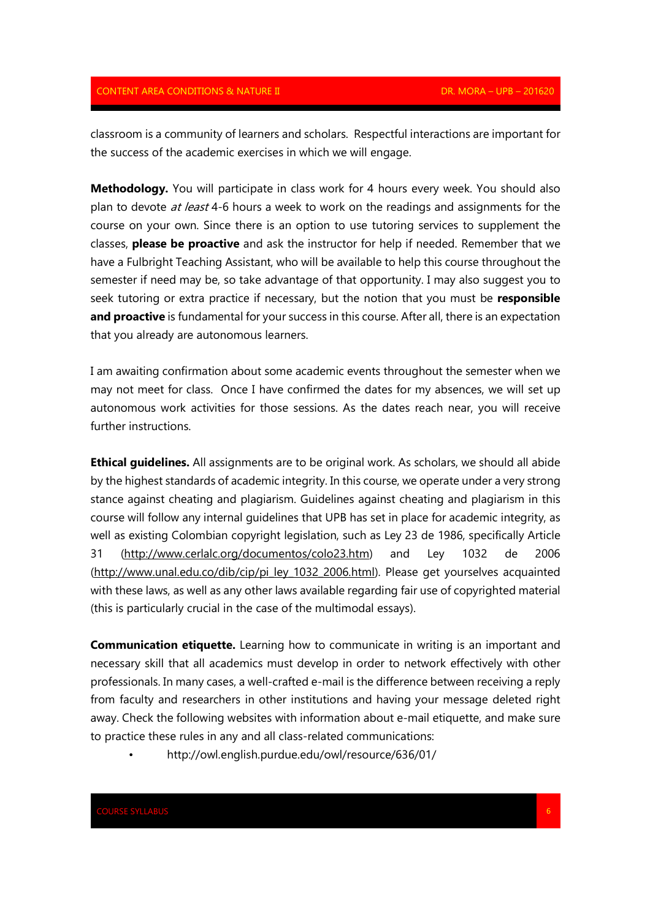classroom is a community of learners and scholars. Respectful interactions are important for the success of the academic exercises in which we will engage.

**Methodology.** You will participate in class work for 4 hours every week. You should also plan to devote at least 4-6 hours a week to work on the readings and assignments for the course on your own. Since there is an option to use tutoring services to supplement the classes, **please be proactive** and ask the instructor for help if needed. Remember that we have a Fulbright Teaching Assistant, who will be available to help this course throughout the semester if need may be, so take advantage of that opportunity. I may also suggest you to seek tutoring or extra practice if necessary, but the notion that you must be **responsible**  and proactive is fundamental for your success in this course. After all, there is an expectation that you already are autonomous learners.

I am awaiting confirmation about some academic events throughout the semester when we may not meet for class. Once I have confirmed the dates for my absences, we will set up autonomous work activities for those sessions. As the dates reach near, you will receive further instructions.

**Ethical guidelines.** All assignments are to be original work. As scholars, we should all abide by the highest standards of academic integrity. In this course, we operate under a very strong stance against cheating and plagiarism. Guidelines against cheating and plagiarism in this course will follow any internal guidelines that UPB has set in place for academic integrity, as well as existing Colombian copyright legislation, such as Ley 23 de 1986, specifically Article 31 (http://www.cerlalc.org/documentos/colo23.htm) and Ley 1032 de 2006 (http://www.unal.edu.co/dib/cip/pi\_ley\_1032\_2006.html). Please get yourselves acquainted with these laws, as well as any other laws available regarding fair use of copyrighted material (this is particularly crucial in the case of the multimodal essays).

**Communication etiquette.** Learning how to communicate in writing is an important and necessary skill that all academics must develop in order to network effectively with other professionals. In many cases, a well-crafted e-mail is the difference between receiving a reply from faculty and researchers in other institutions and having your message deleted right away. Check the following websites with information about e-mail etiquette, and make sure to practice these rules in any and all class-related communications:

• http://owl.english.purdue.edu/owl/resource/636/01/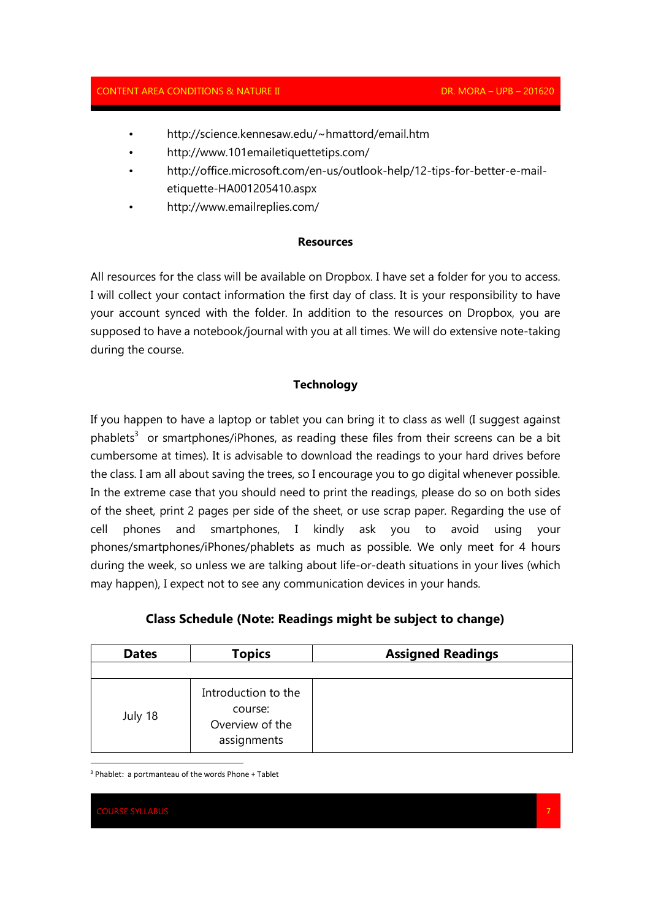- http://science.kennesaw.edu/~hmattord/email.htm
- http://www.101emailetiquettetips.com/
- http://office.microsoft.com/en-us/outlook-help/12-tips-for-better-e-mailetiquette-HA001205410.aspx
- http://www.emailreplies.com/

## **Resources**

All resources for the class will be available on Dropbox. I have set a folder for you to access. I will collect your contact information the first day of class. It is your responsibility to have your account synced with the folder. In addition to the resources on Dropbox, you are supposed to have a notebook/journal with you at all times. We will do extensive note-taking during the course.

## **Technology**

If you happen to have a laptop or tablet you can bring it to class as well (I suggest against  $phablets<sup>3</sup>$  or smartphones/iPhones, as reading these files from their screens can be a bit cumbersome at times). It is advisable to download the readings to your hard drives before the class. I am all about saving the trees, so I encourage you to go digital whenever possible. In the extreme case that you should need to print the readings, please do so on both sides of the sheet, print 2 pages per side of the sheet, or use scrap paper. Regarding the use of cell phones and smartphones, I kindly ask you to avoid using your phones/smartphones/iPhones/phablets as much as possible. We only meet for 4 hours during the week, so unless we are talking about life-or-death situations in your lives (which may happen), I expect not to see any communication devices in your hands.

| <b>Dates</b> | <b>Topics</b>       | <b>Assigned Readings</b> |
|--------------|---------------------|--------------------------|
|              |                     |                          |
|              | Introduction to the |                          |

# **Class Schedule (Note: Readings might be subject to change)**

3 Phablet: a portmanteau of the words Phone + Tablet

course: Overview of the assignments

RSE SYLLABUS

<u>.</u>

July 18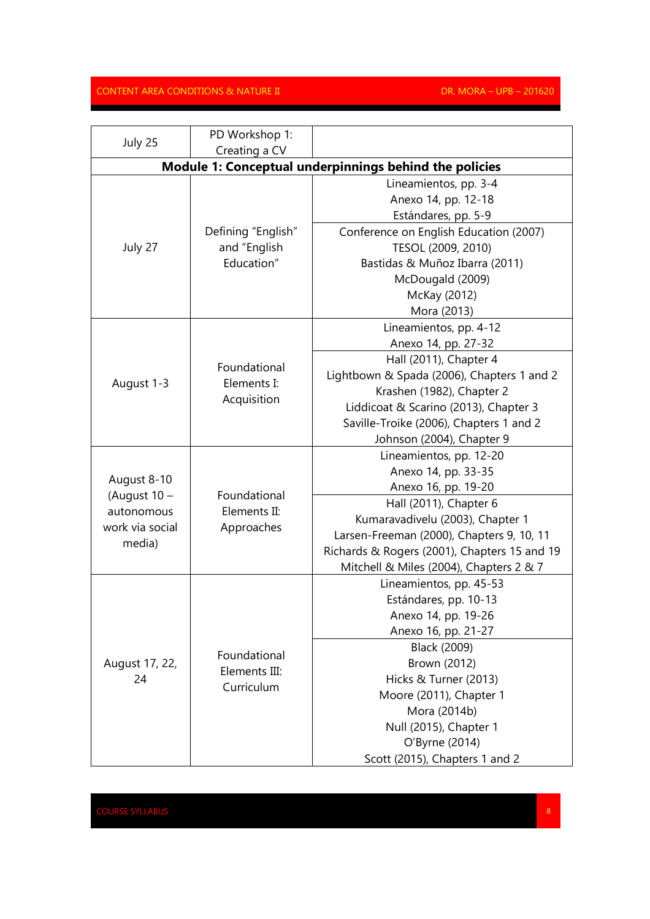| July 25                                                | PD Workshop 1:                              |                                              |  |  |
|--------------------------------------------------------|---------------------------------------------|----------------------------------------------|--|--|
|                                                        | Creating a CV                               |                                              |  |  |
| Module 1: Conceptual underpinnings behind the policies |                                             |                                              |  |  |
|                                                        |                                             | Lineamientos, pp. 3-4                        |  |  |
|                                                        |                                             | Anexo 14, pp. 12-18                          |  |  |
|                                                        |                                             | Estándares, pp. 5-9                          |  |  |
|                                                        | Defining "English"                          | Conference on English Education (2007)       |  |  |
| July 27                                                | and "English                                | TESOL (2009, 2010)                           |  |  |
|                                                        | Education"                                  | Bastidas & Muñoz Ibarra (2011)               |  |  |
|                                                        |                                             | McDougald (2009)                             |  |  |
|                                                        |                                             | McKay (2012)                                 |  |  |
|                                                        |                                             | Mora (2013)                                  |  |  |
|                                                        |                                             | Lineamientos, pp. 4-12                       |  |  |
|                                                        |                                             | Anexo 14, pp. 27-32                          |  |  |
|                                                        | Foundational                                | Hall (2011), Chapter 4                       |  |  |
|                                                        | Elements I:                                 | Lightbown & Spada (2006), Chapters 1 and 2   |  |  |
| August 1-3                                             |                                             | Krashen (1982), Chapter 2                    |  |  |
|                                                        | Acquisition                                 | Liddicoat & Scarino (2013), Chapter 3        |  |  |
|                                                        |                                             | Saville-Troike (2006), Chapters 1 and 2      |  |  |
|                                                        |                                             | Johnson (2004), Chapter 9                    |  |  |
|                                                        |                                             | Lineamientos, pp. 12-20                      |  |  |
|                                                        |                                             | Anexo 14, pp. 33-35                          |  |  |
| August 8-10<br>(August $10 -$                          | Foundational                                | Anexo 16, pp. 19-20                          |  |  |
| autonomous                                             | Elements II:<br>Approaches                  | Hall (2011), Chapter 6                       |  |  |
| work via social                                        |                                             | Kumaravadivelu (2003), Chapter 1             |  |  |
| media)                                                 |                                             | Larsen-Freeman (2000), Chapters 9, 10, 11    |  |  |
|                                                        |                                             | Richards & Rogers (2001), Chapters 15 and 19 |  |  |
|                                                        |                                             | Mitchell & Miles (2004), Chapters 2 & 7      |  |  |
|                                                        | Foundational<br>Elements III:<br>Curriculum | Lineamientos, pp. 45-53                      |  |  |
|                                                        |                                             | Estándares, pp. 10-13                        |  |  |
|                                                        |                                             | Anexo 14, pp. 19-26                          |  |  |
|                                                        |                                             | Anexo 16, pp. 21-27                          |  |  |
|                                                        |                                             | Black (2009)                                 |  |  |
| August 17, 22,                                         |                                             | Brown (2012)                                 |  |  |
| 24                                                     |                                             | Hicks & Turner (2013)                        |  |  |
|                                                        |                                             | Moore (2011), Chapter 1                      |  |  |
|                                                        |                                             | Mora (2014b)                                 |  |  |
|                                                        |                                             | Null (2015), Chapter 1                       |  |  |
|                                                        |                                             | O'Byrne (2014)                               |  |  |
|                                                        |                                             | Scott (2015), Chapters 1 and 2               |  |  |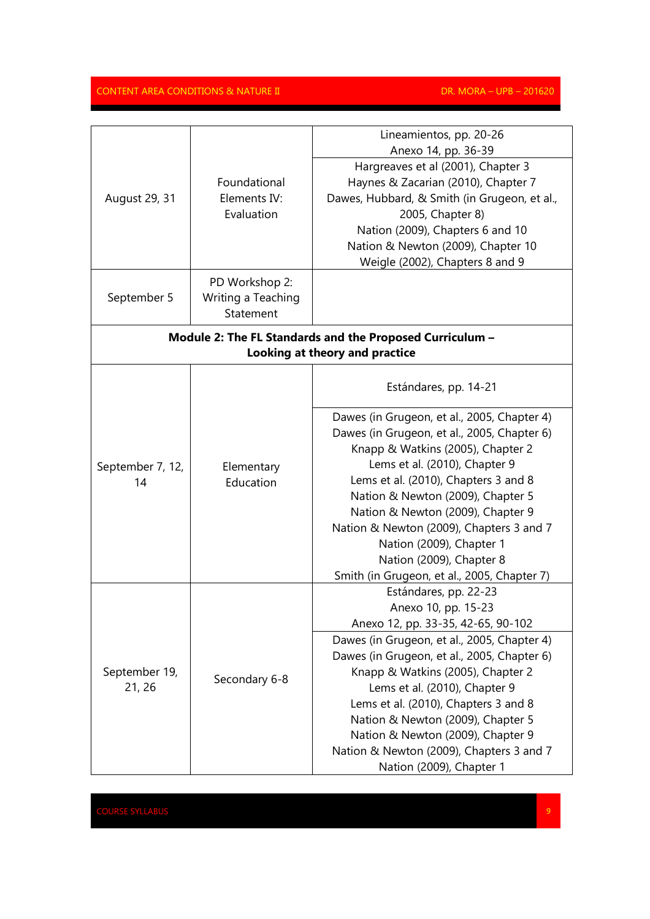|                                                          |                         | Lineamientos, pp. 20-26<br>Anexo 14, pp. 36-39 |  |
|----------------------------------------------------------|-------------------------|------------------------------------------------|--|
|                                                          |                         | Hargreaves et al (2001), Chapter 3             |  |
|                                                          | Foundational            | Haynes & Zacarian (2010), Chapter 7            |  |
| August 29, 31                                            | Elements IV:            | Dawes, Hubbard, & Smith (in Grugeon, et al.,   |  |
|                                                          | Evaluation              | 2005, Chapter 8)                               |  |
|                                                          |                         | Nation (2009), Chapters 6 and 10               |  |
|                                                          |                         | Nation & Newton (2009), Chapter 10             |  |
|                                                          |                         | Weigle (2002), Chapters 8 and 9                |  |
|                                                          |                         |                                                |  |
|                                                          | PD Workshop 2:          |                                                |  |
| September 5                                              | Writing a Teaching      |                                                |  |
|                                                          | Statement               |                                                |  |
| Module 2: The FL Standards and the Proposed Curriculum - |                         |                                                |  |
|                                                          |                         | Looking at theory and practice                 |  |
|                                                          |                         |                                                |  |
|                                                          |                         | Estándares, pp. 14-21                          |  |
|                                                          | Elementary<br>Education | Dawes (in Grugeon, et al., 2005, Chapter 4)    |  |
|                                                          |                         | Dawes (in Grugeon, et al., 2005, Chapter 6)    |  |
|                                                          |                         | Knapp & Watkins (2005), Chapter 2              |  |
| September 7, 12,                                         |                         | Lems et al. (2010), Chapter 9                  |  |
| 14                                                       |                         | Lems et al. (2010), Chapters 3 and 8           |  |
|                                                          |                         | Nation & Newton (2009), Chapter 5              |  |
|                                                          |                         | Nation & Newton (2009), Chapter 9              |  |
|                                                          |                         | Nation & Newton (2009), Chapters 3 and 7       |  |
|                                                          |                         | Nation (2009), Chapter 1                       |  |
|                                                          |                         | Nation (2009), Chapter 8                       |  |
|                                                          |                         | Smith (in Grugeon, et al., 2005, Chapter 7)    |  |
|                                                          | Secondary 6-8           | Estándares, pp. 22-23                          |  |
|                                                          |                         | Anexo 10, pp. 15-23                            |  |
|                                                          |                         | Anexo 12, pp. 33-35, 42-65, 90-102             |  |
|                                                          |                         | Dawes (in Grugeon, et al., 2005, Chapter 4)    |  |
|                                                          |                         | Dawes (in Grugeon, et al., 2005, Chapter 6)    |  |
| September 19,                                            |                         | Knapp & Watkins (2005), Chapter 2              |  |
| 21, 26                                                   |                         | Lems et al. (2010), Chapter 9                  |  |
|                                                          |                         | Lems et al. (2010), Chapters 3 and 8           |  |
|                                                          |                         | Nation & Newton (2009), Chapter 5              |  |
|                                                          |                         | Nation & Newton (2009), Chapter 9              |  |
|                                                          |                         | Nation & Newton (2009), Chapters 3 and 7       |  |
|                                                          |                         | Nation (2009), Chapter 1                       |  |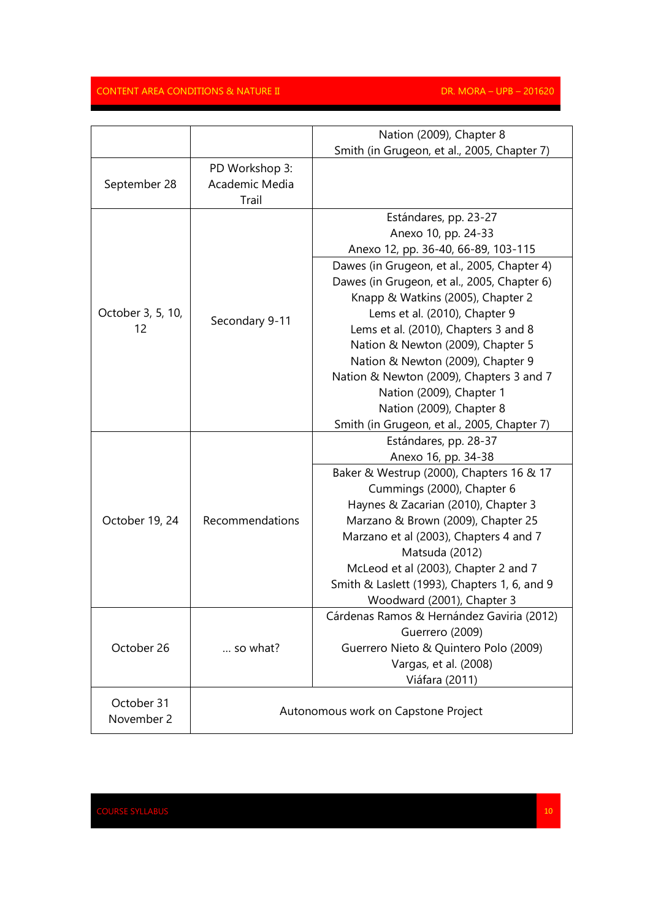|                   |                                     | Nation (2009), Chapter 8                                     |
|-------------------|-------------------------------------|--------------------------------------------------------------|
|                   |                                     | Smith (in Grugeon, et al., 2005, Chapter 7)                  |
| September 28      | PD Workshop 3:                      |                                                              |
|                   | Academic Media<br>Trail             |                                                              |
|                   |                                     |                                                              |
|                   | Secondary 9-11                      | Estándares, pp. 23-27                                        |
|                   |                                     | Anexo 10, pp. 24-33                                          |
|                   |                                     | Anexo 12, pp. 36-40, 66-89, 103-115                          |
|                   |                                     | Dawes (in Grugeon, et al., 2005, Chapter 4)                  |
|                   |                                     | Dawes (in Grugeon, et al., 2005, Chapter 6)                  |
|                   |                                     | Knapp & Watkins (2005), Chapter 2                            |
| October 3, 5, 10, |                                     | Lems et al. (2010), Chapter 9                                |
| 12                |                                     | Lems et al. (2010), Chapters 3 and 8                         |
|                   |                                     | Nation & Newton (2009), Chapter 5                            |
|                   |                                     | Nation & Newton (2009), Chapter 9                            |
|                   |                                     | Nation & Newton (2009), Chapters 3 and 7                     |
|                   |                                     | Nation (2009), Chapter 1                                     |
|                   |                                     | Nation (2009), Chapter 8                                     |
|                   |                                     | Smith (in Grugeon, et al., 2005, Chapter 7)                  |
|                   | Recommendations<br>so what?         | Estándares, pp. 28-37                                        |
|                   |                                     | Anexo 16, pp. 34-38                                          |
|                   |                                     | Baker & Westrup (2000), Chapters 16 & 17                     |
|                   |                                     | Cummings (2000), Chapter 6                                   |
| October 19, 24    |                                     | Haynes & Zacarian (2010), Chapter 3                          |
|                   |                                     | Marzano & Brown (2009), Chapter 25                           |
|                   |                                     | Marzano et al (2003), Chapters 4 and 7                       |
|                   |                                     | Matsuda (2012)<br>McLeod et al (2003), Chapter 2 and 7       |
|                   |                                     |                                                              |
|                   |                                     | Smith & Laslett (1993), Chapters 1, 6, and 9                 |
|                   |                                     | Woodward (2001), Chapter 3                                   |
|                   |                                     | Cárdenas Ramos & Hernández Gaviria (2012)<br>Guerrero (2009) |
| October 26        |                                     | Guerrero Nieto & Quintero Polo (2009)                        |
|                   |                                     | Vargas, et al. (2008)                                        |
|                   |                                     | Viáfara (2011)                                               |
|                   |                                     |                                                              |
| October 31        | Autonomous work on Capstone Project |                                                              |
| November 2        |                                     |                                                              |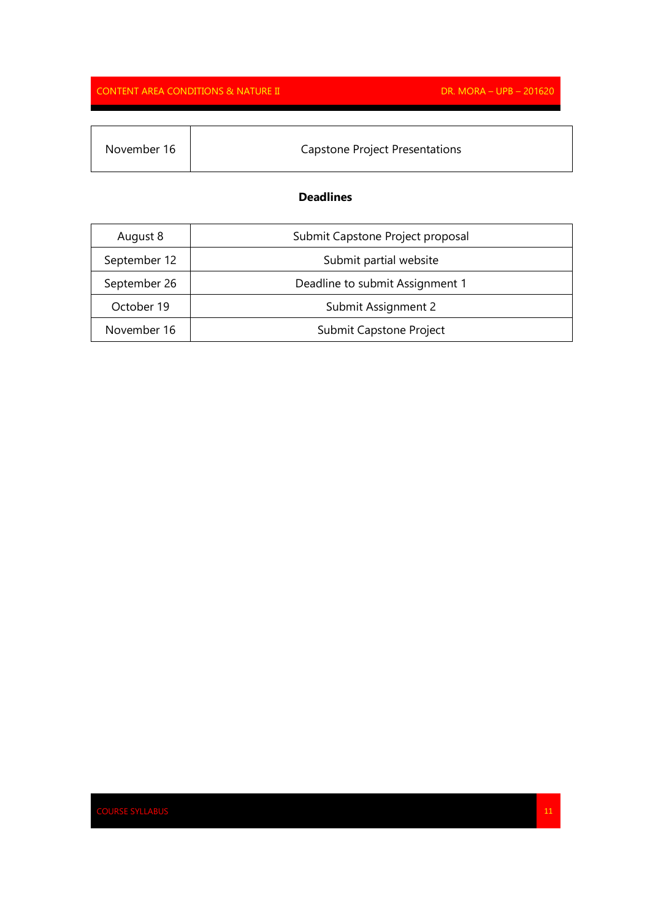| November 16 | Capstone Project Presentations |
|-------------|--------------------------------|

## **Deadlines**

| August 8     | Submit Capstone Project proposal |
|--------------|----------------------------------|
| September 12 | Submit partial website           |
| September 26 | Deadline to submit Assignment 1  |
| October 19   | Submit Assignment 2              |
| November 16  | Submit Capstone Project          |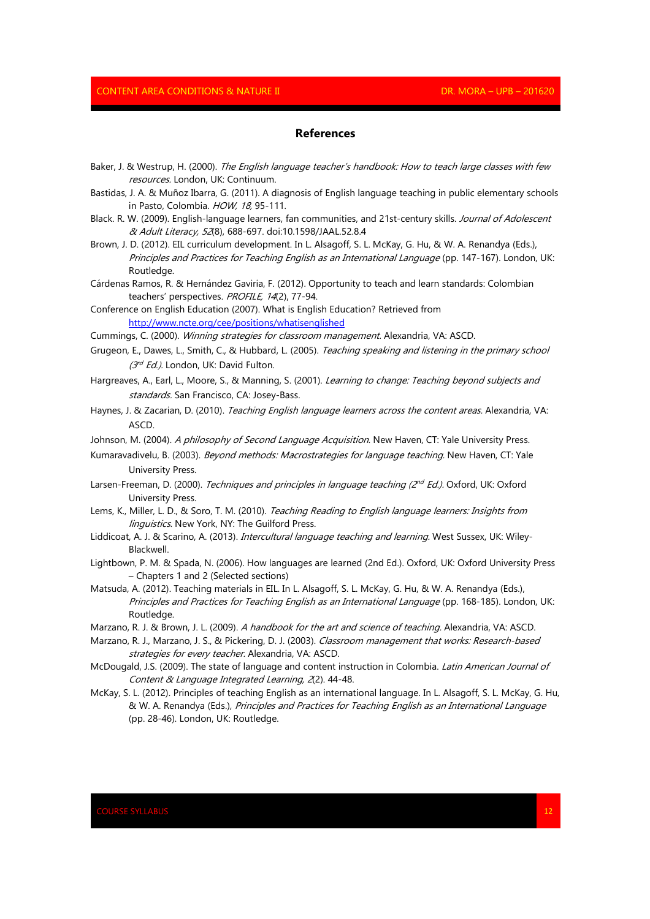#### **References**

- Baker, J. & Westrup, H. (2000). The English language teacher's handbook: How to teach large classes with few resources. London, UK: Continuum.
- Bastidas, J. A. & Muñoz Ibarra, G. (2011). A diagnosis of English language teaching in public elementary schools in Pasto, Colombia. HOW, 18, 95-111.
- Black. R. W. (2009). English-language learners, fan communities, and 21st-century skills. Journal of Adolescent & Adult Literacy, 52(8), 688-697. doi:10.1598/JAAL.52.8.4
- Brown, J. D. (2012). EIL curriculum development. In L. Alsagoff, S. L. McKay, G. Hu, & W. A. Renandya (Eds.), Principles and Practices for Teaching English as an International Language (pp. 147-167). London, UK: Routledge.
- Cárdenas Ramos, R. & Hernández Gaviria, F. (2012). Opportunity to teach and learn standards: Colombian teachers' perspectives. PROFILE, 14(2), 77-94.

Conference on English Education (2007). What is English Education? Retrieved from http://www.ncte.org/cee/positions/whatisenglished

- Cummings, C. (2000). Winning strategies for classroom management. Alexandria, VA: ASCD.
- Grugeon, E., Dawes, L., Smith, C., & Hubbard, L. (2005). Teaching speaking and listening in the primary school (3<sup>rd</sup> Ed.). London, UK: David Fulton.
- Hargreaves, A., Earl, L., Moore, S., & Manning, S. (2001). Learning to change: Teaching beyond subjects and standards. San Francisco, CA: Josey-Bass.
- Haynes, J. & Zacarian, D. (2010). Teaching English language learners across the content areas. Alexandria, VA: ASCD.
- Johnson, M. (2004). A philosophy of Second Language Acquisition. New Haven, CT: Yale University Press.
- Kumaravadivelu, B. (2003). Beyond methods: Macrostrategies for language teaching. New Haven, CT: Yale University Press.
- Larsen-Freeman, D. (2000). *Techniques and principles in language teaching (2<sup>nd</sup> Ed.).* Oxford, UK: Oxford University Press.
- Lems, K., Miller, L. D., & Soro, T. M. (2010). Teaching Reading to English language learners: Insights from linguistics. New York, NY: The Guilford Press.
- Liddicoat, A. J. & Scarino, A. (2013). *Intercultural language teaching and learning*. West Sussex, UK: Wiley-Blackwell.
- Lightbown, P. M. & Spada, N. (2006). How languages are learned (2nd Ed.). Oxford, UK: Oxford University Press – Chapters 1 and 2 (Selected sections)
- Matsuda, A. (2012). Teaching materials in EIL. In L. Alsagoff, S. L. McKay, G. Hu, & W. A. Renandya (Eds.), Principles and Practices for Teaching English as an International Language (pp. 168-185). London, UK: Routledge.
- Marzano, R. J. & Brown, J. L. (2009). A handbook for the art and science of teaching. Alexandria, VA: ASCD.
- Marzano, R. J., Marzano, J. S., & Pickering, D. J. (2003). Classroom management that works: Research-based strategies for every teacher. Alexandria, VA: ASCD.
- McDougald, J.S. (2009). The state of language and content instruction in Colombia. Latin American Journal of Content & Language Integrated Learning, 2(2). 44-48.
- McKay, S. L. (2012). Principles of teaching English as an international language. In L. Alsagoff, S. L. McKay, G. Hu, & W. A. Renandya (Eds.), Principles and Practices for Teaching English as an International Language (pp. 28-46). London, UK: Routledge.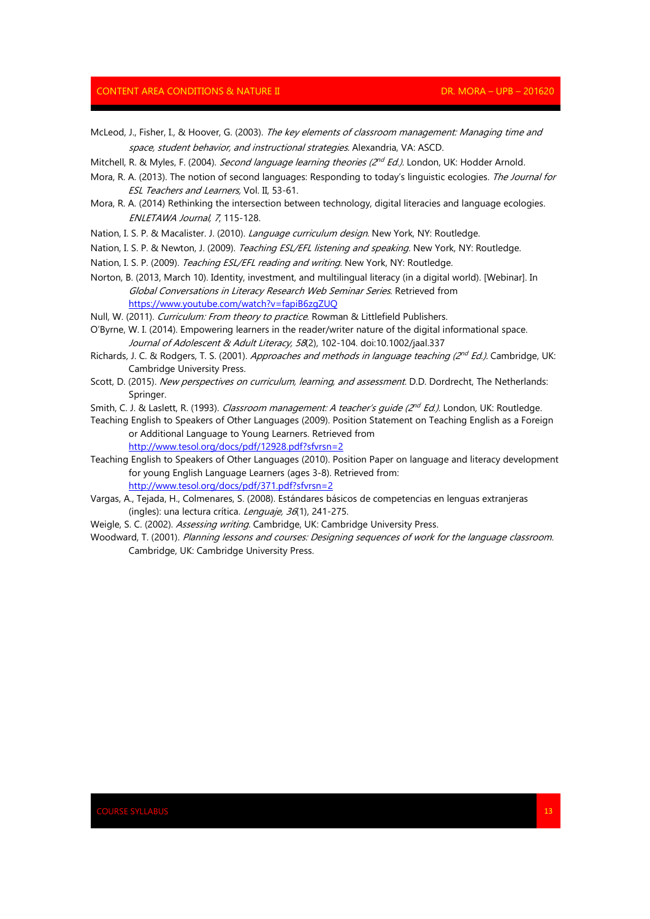- McLeod, J., Fisher, I., & Hoover, G. (2003). The key elements of classroom management: Managing time and space, student behavior, and instructional strategies. Alexandria, VA: ASCD.
- Mitchell, R. & Myles, F. (2004). *Second language learning theories (2<sup>nd</sup> Ed.).* London, UK: Hodder Arnold.
- Mora, R. A. (2013). The notion of second languages: Responding to today's linguistic ecologies. The Journal for ESL Teachers and Learners, Vol. II, 53-61.
- Mora, R. A. (2014) Rethinking the intersection between technology, digital literacies and language ecologies. ENLETAWA Journal, 7, 115-128.
- Nation, I. S. P. & Macalister. J. (2010). Language curriculum design. New York, NY: Routledge.
- Nation, I. S. P. & Newton, J. (2009). Teaching ESL/EFL listening and speaking. New York, NY: Routledge.
- Nation, I. S. P. (2009). Teaching ESL/EFL reading and writing. New York, NY: Routledge.
- Norton, B. (2013, March 10). Identity, investment, and multilingual literacy (in a digital world). [Webinar]. In Global Conversations in Literacy Research Web Seminar Series. Retrieved from https://www.youtube.com/watch?v=fapiB6zgZUQ
- Null, W. (2011). Curriculum: From theory to practice. Rowman & Littlefield Publishers.
- O'Byrne, W. I. (2014). Empowering learners in the reader/writer nature of the digital informational space. Journal of Adolescent & Adult Literacy, 58(2), 102-104. doi:10.1002/jaal.337
- Richards, J. C. & Rodgers, T. S. (2001). *Approaches and methods in language teaching (2<sup>nd</sup> Ed.).* Cambridge, UK: Cambridge University Press.
- Scott, D. (2015). New perspectives on curriculum, learning, and assessment. D.D. Dordrecht, The Netherlands: Springer.
- Smith, C. J. & Laslett, R. (1993). *Classroom management: A teacher's guide (2<sup>nd</sup> Ed.).* London, UK: Routledge.
- Teaching English to Speakers of Other Languages (2009). Position Statement on Teaching English as a Foreign or Additional Language to Young Learners. Retrieved from http://www.tesol.org/docs/pdf/12928.pdf?sfvrsn=2
- Teaching English to Speakers of Other Languages (2010). Position Paper on language and literacy development for young English Language Learners (ages 3-8). Retrieved from: http://www.tesol.org/docs/pdf/371.pdf?sfvrsn=2
- Vargas, A., Tejada, H., Colmenares, S. (2008). Estándares básicos de competencias en lenguas extranjeras (ingles): una lectura crítica. Lenguaje, 36(1), 241-275.
- Weigle, S. C. (2002). Assessing writing. Cambridge, UK: Cambridge University Press.
- Woodward, T. (2001). Planning lessons and courses: Designing sequences of work for the language classroom. Cambridge, UK: Cambridge University Press.